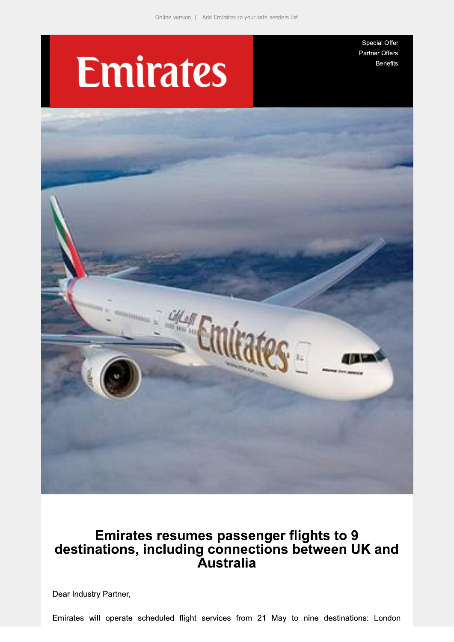## **Emirates**

Special Offer Partner Offers **Benefits** 



# Emirates resumes passenger flights to 9<br>destinations, including connections between UK and<br>Australia

Dear Industry Partner,

Emirates will operate scheduled flight services from 21 May to nine destinations: London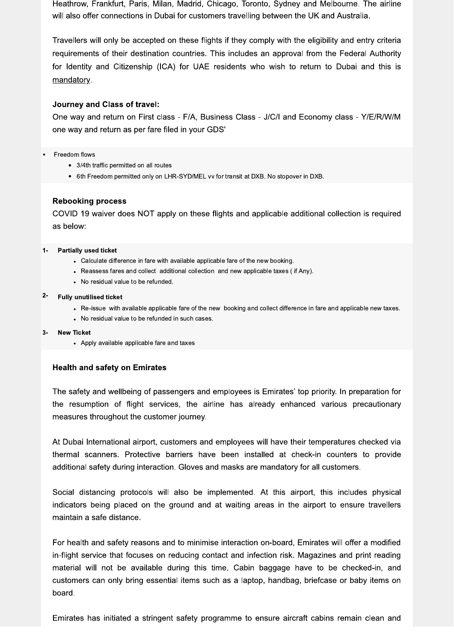Heathrow, Frankfurt, Paris, Milan, Madrid, Chicago, Toronto, Sydney and Melbourne. The airline will also offer connections in Dubai for customers travelling between the UK and Australia.

Travellers will only be accepted on these flights if they comply with the eligibility and entry criteria requirements of their destination countries. This includes an approval from the Federal Authority for Identity and Citizenship (ICA) for UAE residents who wish to return to Dubai and this is mandatory.

## **Journey and Class of travel:**

One way and return on First class - F/A, Business Class - J/C/I and Economy class - Y/E/R/W/M one way and return as per fare filed in your GDS'

#### Freedom flows

- 3/4th traffic permitted on all routes
- 6th Freedom permitted only on LHR-SYD/MEL vv for transit at DXB. No stopover in DXB.

## **Rebooking process**

COVID 19 waiver does NOT apply on these flights and applicable additional collection is required as below:

#### $1 -$ **Partially used ticket**

- Calculate difference in fare with available applicable fare of the new booking.
- Reassess fares and collect additional collection and new applicable taxes (if Any).
- No residual value to be refunded.

#### $2 -$ **Fully unutilised ticket**

- Re-issue with available applicable fare of the new booking and collect difference in fare and applicable new taxes.
- No residual value to be refunded in such cases.

#### **New Ticket**  $\mathbf{R}$

• Apply available applicable fare and taxes

## **Health and safety on Emirates**

The safety and wellbeing of passengers and employees is Emirates' top priority. In preparation for the resumption of flight services, the airline has already enhanced various precautionary measures throughout the customer journey.

At Dubai International airport, customers and employees will have their temperatures checked via thermal scanners. Protective barriers have been installed at check-in counters to provide additional safety during interaction. Gloves and masks are mandatory for all customers.

Social distancing protocols will also be implemented. At this airport, this includes physical indicators being placed on the ground and at waiting areas in the airport to ensure travellers maintain a safe distance.

For health and safety reasons and to minimise interaction on-board, Emirates will offer a modified in-flight service that focuses on reducing contact and infection risk. Magazines and print reading material will not be available during this time. Cabin baggage have to be checked-in, and customers can only bring essential items such as a laptop, handbag, briefcase or baby items on board.

Emirates has initiated a stringent safety programme to ensure aircraft cabins remain clean and